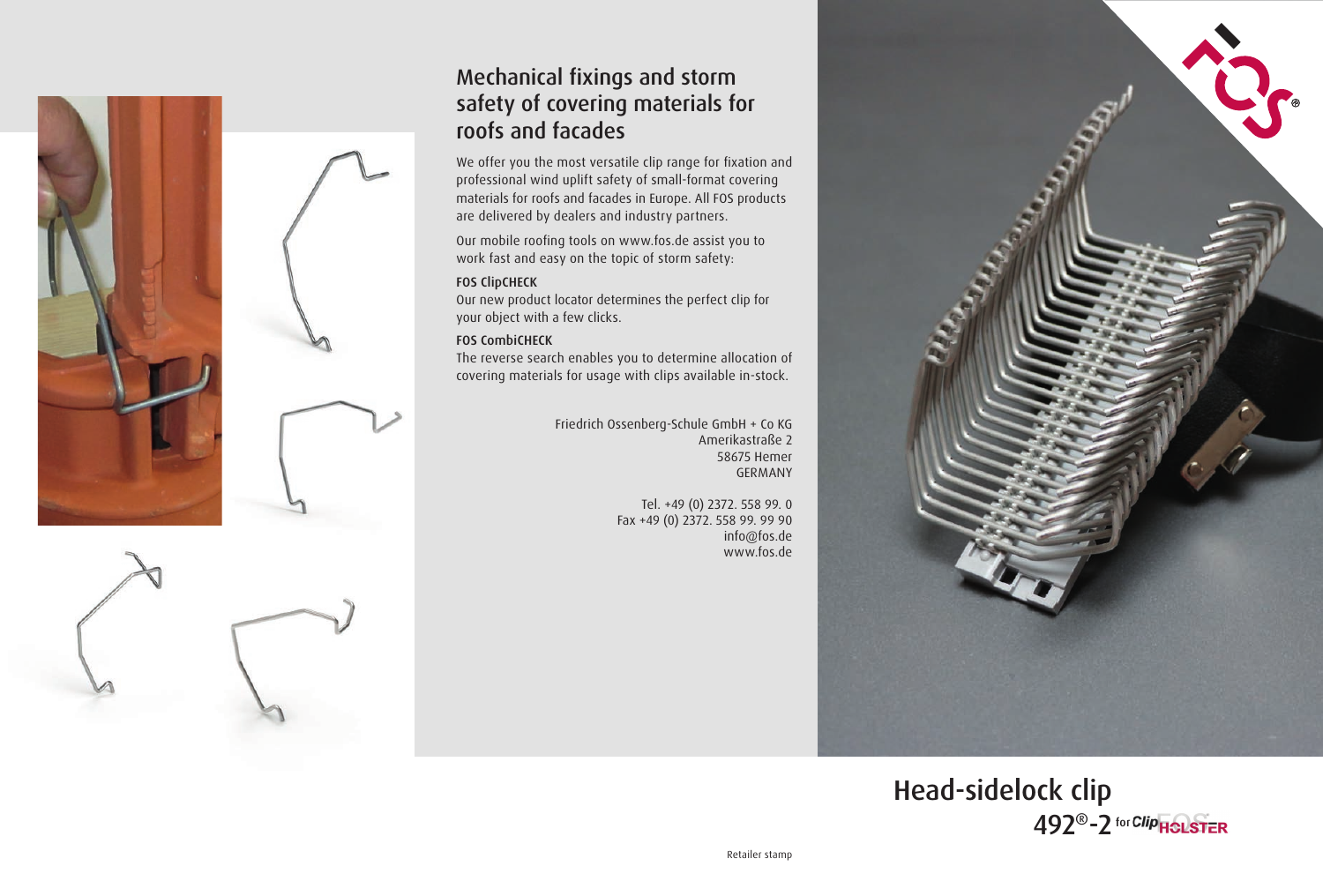

## Mechanical fixings and storm safety of covering materials for roofs and facades

We offer you the most versatile clip range for fixation and professional wind uplift safety of small-format covering materials for roofs and facades in Europe. All FOS products are delivered by dealers and industry partners.

Our mobile roofing tools on www.fos.de assist you to work fast and easy on the topic of storm safety:

#### FOS ClipCHECK

Our new product locator determines the perfect clip for your object with a few clicks.

#### FOS CombiCHECK

The reverse search enables you to determine allocation of covering materials for usage with clips available in-stock.

> Friedrich Ossenberg-Schule GmbH + Co KG Amerikastraße 2 58675 Hemer GERMANY

> > Tel. +49 (0) 2372. 558 99. 0 Fax +49 (0) 2372. 558 99. 99 90 info@fos.de www.fos.de



Head-sidelock clip 492<sup>®</sup>-2 for *Clip* **HOLSTER**